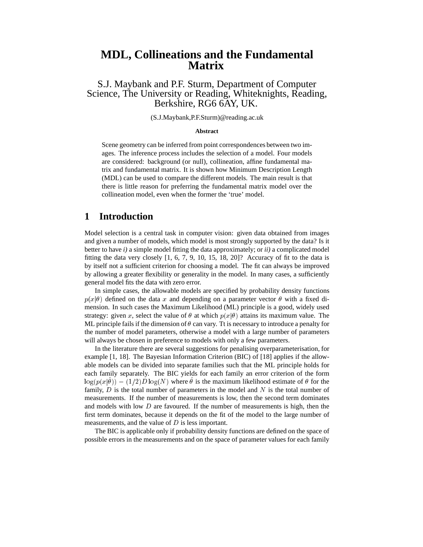# **MDL, Collineations and the Fundamental Matrix**

S.J. Maybank and P.F. Sturm, Department of Computer Science, The University or Reading, Whiteknights, Reading, Berkshire, RG6 6AY, UK.

(S.J.Maybank,P.F.Sturm)@reading.ac.uk

#### **Abstract**

Scene geometry can be inferred from point correspondences between two images. The inference process includes the selection of a model. Four models are considered: background (or null), collineation, affine fundamental matrix and fundamental matrix. It is shown how Minimum Description Length (MDL) can be used to compare the different models. The main result is that there is little reason for preferring the fundamental matrix model over the collineation model, even when the former the 'true' model.

## **1 Introduction**

Model selection is a central task in computer vision: given data obtained from images and given a number of models, which model is most strongly supported by the data? Is it better to have *i)* a simple model fitting the data approximately; or *ii)* a complicated model fitting the data very closely  $[1, 6, 7, 9, 10, 15, 18, 20]$ ? Accuracy of fit to the data is by itself not a sufficient criterion for choosing a model. The fit can always be improved by allowing a greater flexibility or generality in the model. In many cases, a sufficiently general model fits the data with zero error.

In simple cases, the allowable models are specified by probability density functions  $p(x|\theta)$  defined on the data x and depending on a parameter vector  $\theta$  with a fixed dimension. In such cases the Maximum Likelihood (ML) principle is a good, widely used strategy: given x, select the value of  $\theta$  at which  $p(x|\theta)$  attains its maximum value. The ML principle fails if the dimension of  $\theta$  can vary. Tt is necessary to introduce a penalty for the number of model parameters, otherwise a model with a large number of parameters will always be chosen in preference to models with only a few parameters.

In the literature there are several suggestions for penalising overparameterisation, for example [1, 18]. The Bayesian Information Criterion (BIC) of [18] applies if the allowable models can be divided into separate families such that the ML principle holds for each family separately. The BIC yields for each family an error criterion of the form  $\log(p(x|\theta)) - (1/2)D \log(N)$  where  $\theta$  is the maximum likelihood estimate of  $\theta$  for the family,  $D$  is the total number of parameters in the model and  $N$  is the total number of measurements. If the number of measurements is low, then the second term dominates and models with low  $D$  are favoured. If the number of measurements is high, then the first term dominates, because it depends on the fit of the model to the large number of measurements, and the value of <sup>D</sup> is less important.

The BIC is applicable only if probability density functions are defined on the space of possible errors in the measurements and on the space of parameter values for each family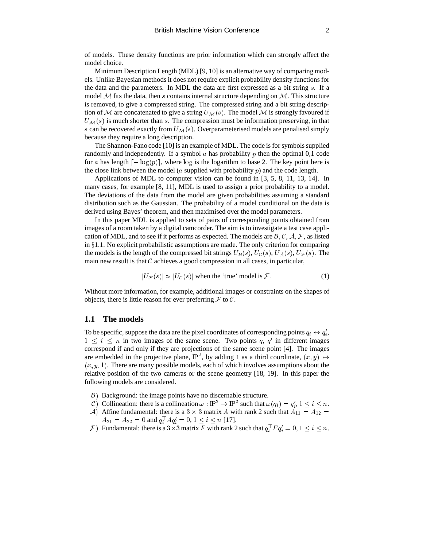of models. These density functions are prior information which can strongly affect the model choice.

Minimum Description Length (MDL) [9, 10] is an alternative way of comparing models. Unlike Bayesian methods it does not require explicit probability density functions for the data and the parameters. In MDL the data are first expressed as a bit string <sup>s</sup>. If a model M fits the data, then s contains internal structure depending on  $M$ . This structure is removed, to give a compressed string. The compressed string and a bit string description of M are concatenated to give a string  $U_M(s)$ . The model M is strongly favoured if  $U_{\mathcal{M}}(s)$  is much shorter than s. The compression must be information preserving, in that s can be recovered exactly from  $U_{\mathcal{M}}(s)$ . Overparameterised models are penalised simply because they require a long description.

The Shannon-Fano code [10] is an example of MDL. The code is for symbols supplied randomly and independently. If a symbol  $\alpha$  has probability  $p$  then the optimal 0,1 code for a has length  $\lceil -\log(p) \rceil$ , where  $\log$  is the logarithm to base 2. The key point here is the close link between the model ( $a$  supplied with probability  $p$ ) and the code length.

Applications of MDL to computer vision can be found in [3, 5, 8, 11, 13, 14]. In many cases, for example [8, 11], MDL is used to assign a prior probability to a model. The deviations of the data from the model are given probabilities assuming a standard distribution such as the Gaussian. The probability of a model conditional on the data is derived using Bayes' theorem, and then maximised over the model parameters.

In this paper MDL is applied to sets of pairs of corresponding points obtained from images of a room taken by a digital camcorder. The aim is to investigate a test case application of MDL, and to see if it performs as expected. The models are  $\beta$ , C, A, F, as listed in  $\S1.1$ . No explicit probabilistic assumptions are made. The only criterion for comparing the models is the length of the compressed bit strings  $U_B(s)$ ,  $U_C(s)$ ,  $U_A(s)$ ,  $U_F(s)$ . The main new result is that  $C$  achieves a good compression in all cases, in particular,

$$
|U_{\mathcal{F}}(s)| \approx |U_{\mathcal{C}}(s)| \text{ when the 'true' model is } \mathcal{F}. \tag{1}
$$

Without more information, for example, additional images or constraints on the shapes of objects, there is little reason for ever preferring  $\mathcal F$  to  $\mathcal C$ .

#### **1.1 The models**

To be specific, suppose the data are the pixel coordinates of corresponding points  $q_i \leftrightarrow q'_i$ ,  $1 \leq i \leq n$  in two images of the same scene. Two points q, q' in different images correspond if and only if they are projections of the same scene point [4]. The images are embedded in the projective plane,  $\mathbb{P}^2$ , by adding 1 as a third coordinate,  $(x, y) \mapsto$  $(x, y, 1)$ . There are many possible models, each of which involves assumptions about the relative position of the two cameras or the scene geometry [18, 19]. In this paper the following models are considered.

- $\beta$ ) Background: the image points have no discernable structure.
- C) Collineation: there is a collineation  $\omega : \mathbb{P}^2 \to \mathbb{P}^2$  such that  $\omega(q_i) = q'_i, 1 \leq i \leq n$ .
- A) Affine fundamental: there is a 3  $\times$  3 matrix A with rank 2 such that  $A_{11} = A_{12}$  $A_{21} = A_{22} = 0$  and  $q_i^{\top} A q_i' = 0, 1 \le i \le n$  [17].
- $\mathcal{F}$ ) Fundamental: there is a  $3 \times 3$  matrix F with rank 2 such that  $q_i^{\perp} F q_i' = 0, 1 \leq i \leq n$ .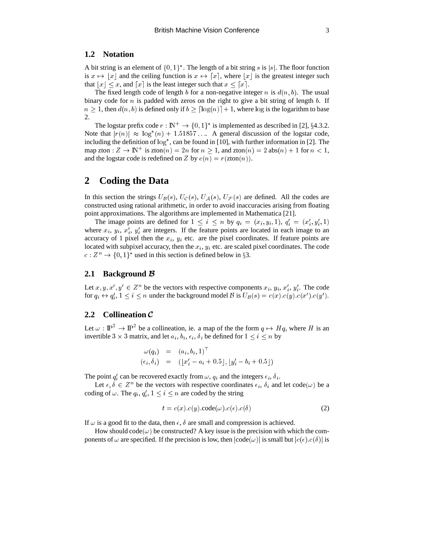#### **1.2 Notation**

A bit string is an element of  $\{0,1\}^*$ . The length of a bit string s is |s|. The floor function is  $x \mapsto |x|$  and the ceiling function is  $x \mapsto |x|$ , where  $|x|$  is the greatest integer such that  $|x| \leq x$ , and  $\lceil x \rceil$  is the least integer such that  $x \leq \lceil x \rceil$ .

The fixed length code of length b for a non-negative integer n is  $d(n, b)$ . The usual binary code for  $n$  is padded with zeros on the right to give a bit string of length  $b$ . If  $n \geq 1$ , then  $d(n, b)$  is defined only if  $b > \lceil \log(n) \rceil + 1$ , where  $\log$  is the logarithm to base 2.

The logstar prefix code  $r : \mathbb{N}^+ \to \{0,1\}^*$  is implemented as described in [2], §4.3.2. Note that  $|r(n)| \approx \log^*(n) + 1.51857...$  A general discussion of the logstar code, including the definition of  $\log^*$ , can be found in [10], with further information in [2]. The map zton :  $Z \to \mathbb{N}^+$  is zton $(n) = 2n$  for  $n \ge 1$ , and zton $(n) = 2$  abs $(n) + 1$  for  $n < 1$ , and the logstar code is redefined on Z by  $e(n) = r(\text{zton}(n)).$ 

# **2 Coding the Data**

In this section the strings  $U_B(s)$ ,  $U_C(s)$ ,  $U_A(s)$ ,  $U_F(s)$  are defined. All the codes are constructed using rational arithmetic, in order to avoid inaccuracies arising from floating point approximations. The algorithms are implemented in Mathematica [21].

The image points are defined for  $1 \leq i \leq n$  by  $q_i = (x_i, y_i, 1), q'_i = (x'_i, y'_i, 1)$ where  $x_i$ ,  $y_i$ ,  $x'_i$ ,  $y'_i$  are integers. If the feature points are located in each image to an accuracy of 1 pixel then the  $x_i$ ,  $y_i$  etc. are the pixel coordinates. If feature points are located with subpixel accuracy, then the  $x_i$ ,  $y_i$  etc. are scaled pixel coordinates. The code  $c: Z^n \to \{0, 1\}^*$  used in this section is defined below in §3.

### **2.1 Background** <sup>B</sup>

Let  $x, y, x', y' \in \mathbb{Z}^n$  be the vectors with respective components  $x_i, y_i, x'_i, y'_i$ . The code for  $q_i \leftrightarrow q'_i$ ,  $1 \le i \le n$  under the background model B is  $U_B(s) = c(x) . c(y) . c(x') . c(y')$ .

## **2.2 Collineation** <sup>C</sup>

<sup>i</sup>

Let  $\omega : \mathbb{P}^2 \to \mathbb{P}^2$  be a collineation, ie. a map of the the form  $q \mapsto Hq$ , where H is an invertible  $3 \times 3$  matrix, and let  $a_i, b_i, \epsilon_i, \delta_i$  be defined for  $1 \le i \le n$  by

$$
\begin{array}{rcl}\n\omega(q_i) & = & (a_i, b_i, 1)^\top \\
(\epsilon_i, \delta_i) & = & ([x'_i - a_i + 0.5], [y'_i - b_i + 0.5])\n\end{array}
$$

The point  $q_i'$  can be recovered exactly from  $\omega$ ,  $q_i$  and the integers  $\epsilon_i$ ,  $\delta_i$ .

Let  $\epsilon, \delta \in \mathbb{Z}^n$  be the vectors with respective coordinates  $\epsilon_i$ ,  $\delta_i$  and let code( $\omega$ ) be a coding of  $\omega$ . The  $q_i, q'_i, 1 \le i \le n$  are coded by the string

$$
t = c(x) . c(y) .code(\omega). c(\epsilon). c(\delta)
$$
\n(2)

If  $\omega$  is a good fit to the data, then  $\epsilon$ ,  $\delta$  are small and compression is achieved.

How should code( $\omega$ ) be constructed? A key issue is the precision with which the components of  $\omega$  are specified. If the precision is low, then  $|code(\omega)|$  is small but  $|c(\epsilon).c(\delta)|$  is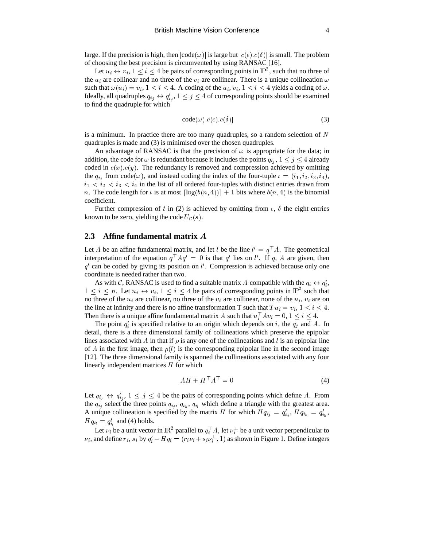large. If the precision is high, then  $|code(\omega)|$  is large but  $|c(\epsilon).c(\delta)|$  is small. The problem of choosing the best precision is circumvented by using RANSAC [16].

Let  $u_i \leftrightarrow v_i$ ,  $1 \leq i \leq 4$  be pairs of corresponding points in  $\mathbb{P}^2$ , such that no three of the  $u_i$  are collinear and no three of the  $v_i$  are collinear. There is a unique collineation  $\omega$ such that  $\omega(u_i) = v_i$ ,  $1 \le i \le 4$ . A coding of the  $u_i, v_i, 1 \le i \le 4$  yields a coding of  $\omega$ . Ideally, all quadruples  $q_{i_j} \leftrightarrow q'_{i_j}$ ,  $1 \leq j \leq 4$  of corresponding points should be examined to find the quadruple for which

$$
|\text{code}(\omega).c(\epsilon).c(\delta)|\tag{3}
$$

is a minimum. In practice there are too many quadruples, so a random selection of  $N$ quadruples is made and (3) is minimised over the chosen quadruples.

An advantage of RANSAC is that the precision of  $\omega$  is appropriate for the data; in addition, the code for  $\omega$  is redundant because it includes the points  $q_{i_j}$ ,  $1 \leq j \leq 4$  already coded in  $c(x)$ .  $c(y)$ . The redundancy is removed and compression achieved by omitting the  $q_{i_j}$  from code( $\omega$ ), and instead coding the index of the four-tuple  $\iota = (i_1, i_2, i_3, i_4)$ ,  $i_1 < i_2 < i_3 < i_4$  in the list of all ordered four-tuples with distinct entries drawn from n. The code length for  $\iota$  is at most  $\lceil \log(b(n, 4)) \rceil + 1$  bits where  $b(n, 4)$  is the binomial coefficient.

Further compression of t in (2) is achieved by omitting from  $\epsilon$ ,  $\delta$  the eight entries known to be zero, yielding the code  $U_{\mathcal{C}}(s)$ .

#### **2.3 Affine fundamental matrix** A

Let A be an affine fundamental matrix, and let l be the line  $l' = q \, \vert A$ . The geometrical interpretation of the equation  $q^T A q' = 0$  is that q' lies on l'. If q, A are given, then  $q'$  can be coded by giving its position on  $l'$ . Compression is achieved because only one coordinate is needed rather than two.

As with C, RANSAC is used to find a suitable matrix A compatible with the  $q_i \leftrightarrow q'_i$ ,  $1 \leq i \leq n$ . Let  $u_i \leftrightarrow v_i$ ,  $1 \leq i \leq 4$  be pairs of corresponding points in  $\mathbb{P}^2$  such that no three of the  $u_i$  are collinear, no three of the  $v_i$  are collinear, none of the  $u_i$ ,  $v_i$  are on the line at infinity and there is no affine transformation T such that  $Tu_i = v_i$ ,  $1 \leq i \leq 4$ . Then there is a unique affine fundamental matrix A such that  $u_i^+Av_i=0, 1\leq i\leq 4$ .

The point  $q_i$  is specified relative to an origin which depends on i, the  $q_i$  and A. In detail, there is a three dimensional family of collineations which preserve the epipolar lines associated with A in that if  $\rho$  is any one of the collineations and l is an epipolar line of A in the first image, then  $\rho(l)$  is the corresponding epipolar line in the second image [12]. The three dimensional family is spanned the collineations associated with any four linearly independent matrices <sup>H</sup> for which

$$
AH + H^{\perp}A^{\perp} = 0 \tag{4}
$$

Let  $q_{i_j} \leftrightarrow q'_{i_j}$ ,  $1 \leq j \leq 4$  be the pairs of corresponding points which define A. From the  $q_{i_j}$  select the three points  $q_{i_j}, q_{i_k}, q_{i_l}$  which define a triangle with the greatest area. A unique collineation is specified by the matrix H for which  $Hq_{i_j} = q'_{i_j}$ ,  $Hq_{i_k} = q'_{i_k}$ ,  $H q_{i_l} = q'_{i_l}$  and (4) holds.

Let  $\nu_i$  be a unit vector in  $\mathbb{R}^2$  parallel to  $q_i^{\perp}$  A, let  $\nu_i^{\perp}$  be a unit vector perpendicular to  $\nu_i$ , and define  $r_i$ ,  $s_i$  by  $q'_i - Hq_i = (r_i \nu_i + s_i \nu_i^{\perp}, 1)$  as shown in Figure 1. Define integers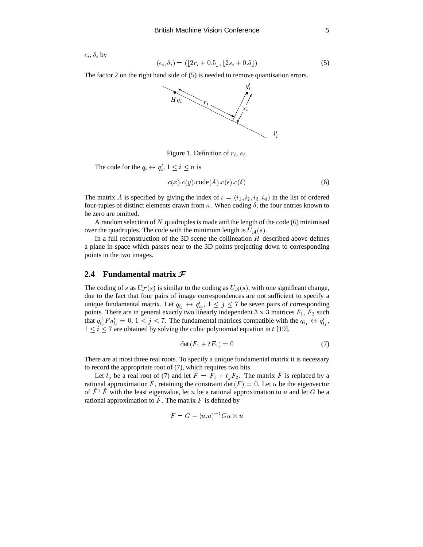$\epsilon_i$ ,  $\delta_i$  by

$$
(\epsilon_i, \delta_i) = (\lfloor 2r_i + 0.5 \rfloor, \lfloor 2s_i + 0.5 \rfloor) \tag{5}
$$

The factor 2 on the right hand side of (5) is needed to remove quantisation errors.



Figure 1. Definition of  $r_i$ ,  $s_i$ .

The code for the  $q_i \leftrightarrow q'_i$ ,  $1 \leq i \leq n$  is

$$
c(x).c(y).code(A).c(\epsilon).c(\delta)
$$
\n(6)

The matrix A is specified by giving the index of  $i = (i_1, i_2, i_3, i_4)$  in the list of ordered four-tuples of distinct elements drawn from n. When coding  $\delta$ , the four entries known to be zero are omitted.

A random selection of N quadruples is made and the length of the code  $(6)$  minimised over the quadruples. The code with the minimum length is  $U_A(s)$ .

In a full reconstruction of the 3D scene the collineation  $H$  described above defines a plane in space which passes near to the 3D points projecting down to corresponding points in the two images.

## **2.4 Fundamental matrix** <sup>F</sup>

The coding of s as  $U_{\mathcal{F}}(s)$  is similar to the coding as  $U_{\mathcal{A}}(s)$ , with one significant change, due to the fact that four pairs of image correspondences are not sufficient to specify a unique fundamental matrix. Let  $q_{i_j} \leftrightarrow q'_{i_j}$ ,  $1 \leq j \leq 7$  be seven pairs of corresponding points. There are in general exactly two linearly independent  $3 \times 3$  matrices  $F_1$ ,  $F_2$  such that  $q_{i_j}^{\perp} F q'_{i_j} = 0, 1 \le j \le 7$ . The fundamental matrices compatible with the  $q_{i_j} \leftrightarrow q'_{i_j}$ ,  $1 \leq i \leq 7$  are obtained by solving the cubic polynomial equation in t [19],

$$
\det(F_1 + tF_2) = 0\tag{7}
$$

There are at most three real roots. To specify a unique fundamental matrix it is necessary to record the appropriate root of (7), which requires two bits.

Let  $t_j$  be a real root of (7) and let  $F = F_1 + t_jF_2$ . The matrix F is replaced by a rational approximation F, retaining the constraint  $\det(F) = 0$ . Let  $\tilde{u}$  be the eigenvector of  $F^+F$  with the least eigenvalue, let u be a rational approximation to  $\tilde{u}$  and let G be a rational approximation to  $F$ . The matrix  $F$  is defined by

$$
F = G - (u.u)^{-1}Gu \otimes u
$$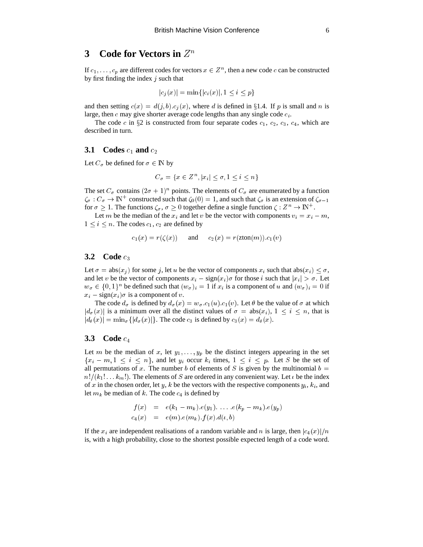# **3** Code for Vectors in  $Z^n$

If  $c_1, \ldots, c_p$  are different codes for vectors  $x \in \mathbb{Z}^n$ , then a new code c can be constructed by first finding the index  $j$  such that

$$
|c_j(x)| = \min\{|c_i(x)|, 1 \le i \le p\}
$$

and then setting  $c(x) = d(j, b) \cdot c_j(x)$ , where d is defined in §1.4. If p is small and n is large, then  $c$  may give shorter average code lengths than any single code  $c_i$ .

The code c in  $\S 2$  is constructed from four separate codes  $c_1$ ,  $c_2$ ,  $c_3$ ,  $c_4$ , which are described in turn.

## **3.1** Codes  $c_1$  and  $c_2$

Let  $C_{\sigma}$  be defined for  $\sigma \in \mathbb{N}$  by

$$
C_{\sigma} = \{ x \in \mathbb{Z}^n, |x_i| \le \sigma, 1 \le i \le n \}
$$

The set  $C_{\sigma}$  contains  $(2\sigma + 1)^n$  points. The elements of  $C_{\sigma}$  are enumerated by a function  $\zeta_{\sigma}: C_{\sigma} \to \mathbb{N}^+$  constructed such that  $\zeta_0(0) = 1$ , and such that  $\zeta_{\sigma}$  is an extension of  $\zeta_{\sigma-1}$ for  $\sigma \geq 1$ . The functions  $\zeta_{\sigma}, \sigma \geq 0$  together define a single function  $\zeta : Z^n \to \mathbb{N}^+$ .

Let m be the median of the  $x_i$  and let v be the vector with components  $v_i = x_i - m$ ,  $1 \leq i \leq n$ . The codes  $c_1, c_2$  are defined by

$$
c_1(x) = r(\zeta(x)) \quad \text{and} \quad c_2(x) = r(\text{zton}(m)).c_1(v)
$$

#### **3.2** Code  $c_3$

Let  $\sigma = abs(x_i)$  for some j, let u be the vector of components  $x_i$  such that  $abs(x_i) \leq \sigma$ , and let v be the vector of components  $x_i - sign(x_i) \sigma$  for those i such that  $|x_i| > \sigma$ . Let  $w_{\sigma} \in \{0,1\}^n$  be defined such that  $(w_{\sigma})_i = 1$  if  $x_i$  is a component of u and  $(w_{\sigma})_i = 0$  if  $x_i - sign(x_i)\sigma$  is a component of v.

The code  $d_{\sigma}$  is defined by  $d_{\sigma}(x) = w_{\sigma} c_1(u) c_1(v)$ . Let  $\theta$  be the value of  $\sigma$  at which  $|d_{\sigma}(x)|$  is a minimum over all the distinct values of  $\sigma = abs(x_i)$ ,  $1 \le i \le n$ , that is  $|d_{\theta}(x)| = \min_{\sigma} \{ |d_{\sigma}(x)| \}$ . The code  $c_3$  is defined by  $c_3(x) = d_{\theta}(x)$ .

### **3.3** Code  $c_4$

Let m be the median of x, let  $y_1, \ldots, y_p$  be the distinct integers appearing in the set  $\{x_i - m, 1 \le i \le n\}$ , and let  $y_i$  occur  $k_i$  times,  $1 \le i \le p$ . Let S be the set of all permutations of x. The number b of elements of S is given by the multinomial  $b =$  $n!/(k_1! \ldots k_m!)$ . The elements of S are ordered in any convenient way. Let  $\iota$  be the index of x in the chosen order, let y, k be the vectors with the respective components  $y_i, k_i$ , and let  $m_k$  be median of k. The code  $c_4$  is defined by

$$
f(x) = e(k_1 - m_k).e(y_1). \ldots .e(k_p - m_k).e(y_p) \n c_4(x) = e(m).e(m_k).f(x).d(\iota,b)
$$

If the  $x_i$  are independent realisations of a random variable and n is large, then  $|c_4(x)|/n$ is, with a high probability, close to the shortest possible expected length of a code word.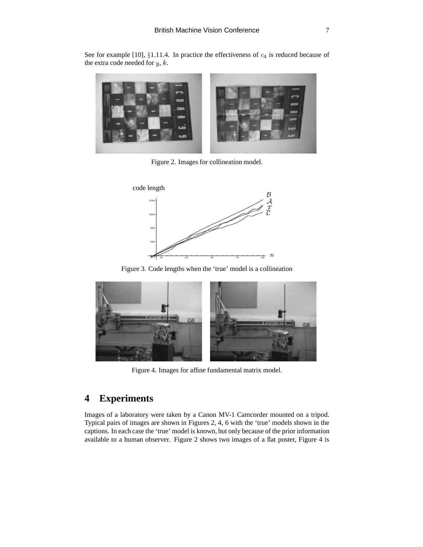See for example [10],  $\S1.11.4$ . In practice the effectiveness of  $c_4$  is reduced because of the extra code needed for  $y, k$ .



Figure 2. Images for collineation model.



Figure 3. Code lengths when the 'true' model is a collineation



Figure 4. Images for affine fundamental matrix model.

# **4 Experiments**

Images of a laboratory were taken by a Canon MV-1 Camcorder mounted on a tripod. Typical pairs of images are shown in Figures 2, 4, 6 with the 'true' models shown in the captions. In each case the 'true' model is known, but only because of the prior information available to a human observer. Figure 2 shows two images of a flat poster, Figure 4 is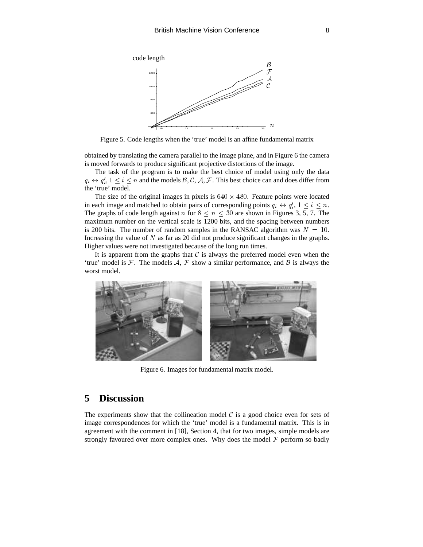

Figure 5. Code lengths when the 'true' model is an affine fundamental matrix

obtained by translating the camera parallel to the image plane, and in Figure 6 the camera is moved forwards to produce significant projective distortions of the image.

The task of the program is to make the best choice of model using only the data  $q_i \leftrightarrow q'_i$ ,  $1 \le i \le n$  and the models  $\mathcal{B}, \mathcal{C}, \mathcal{A}, \mathcal{F}$ . This best choice can and does differ from the 'true' model.

The size of the original images in pixels is  $640 \times 480$ . Feature points were located in each image and matched to obtain pairs of corresponding points  $q_i \leftrightarrow q'_i$ ,  $1 \leq i \leq n$ . <sup>i</sup> The graphs of code length against n for  $8 \le n \le 30$  are shown in Figures 3, 5, 7. The maximum number on the vertical scale is 1200 bits, and the spacing between numbers is 200 bits. The number of random samples in the RANSAC algorithm was  $N = 10$ . Increasing the value of  $N$  as far as 20 did not produce significant changes in the graphs. Higher values were not investigated because of the long run times.

It is apparent from the graphs that  $C$  is always the preferred model even when the 'true' model is  $F$ . The models  $A$ ,  $F$  show a similar performance, and  $B$  is always the worst model.



Figure 6. Images for fundamental matrix model.

# **5 Discussion**

The experiments show that the collineation model  $\mathcal C$  is a good choice even for sets of image correspondences for which the 'true' model is a fundamental matrix. This is in agreement with the comment in [18], Section 4, that for two images, simple models are strongly favoured over more complex ones. Why does the model  $\mathcal F$  perform so badly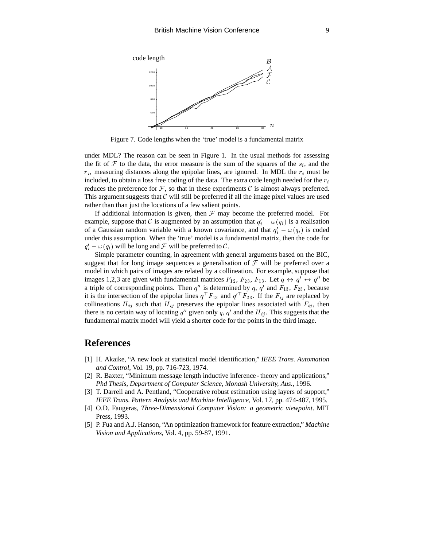

Figure 7. Code lengths when the 'true' model is a fundamental matrix

under MDL? The reason can be seen in Figure 1. In the usual methods for assessing the fit of F to the data, the error measure is the sum of the squares of the  $s_i$ , and the  $r_i$ , measuring distances along the epipolar lines, are ignored. In MDL the  $r_i$  must be included, to obtain a loss free coding of the data. The extra code length needed for the  $r_i$ reduces the preference for  $\mathcal F$ , so that in these experiments  $\mathcal C$  is almost always preferred. This argument suggests that  $\mathcal C$  will still be preferred if all the image pixel values are used rather than than just the locations of a few salient points.

If additional information is given, then  $\mathcal F$  may become the preferred model. For example, suppose that C is augmented by an assumption that  $q_i' - \omega(q_i)$  is a realisation of a Gaussian random variable with a known covariance, and that  $q_i' - \omega(q_i)$  is coded under this assumption. When the 'true' model is a fundamental matrix, then the code for  $q_i' - \omega(q_i)$  will be long and  $\mathcal F$  will be preferred to  $\mathcal C$ .

Simple parameter counting, in agreement with general arguments based on the BIC, suggest that for long image sequences a generalisation of  $\mathcal F$  will be preferred over a model in which pairs of images are related by a collineation. For example, suppose that images 1,2,3 are given with fundamental matrices  $F_{12}$ ,  $F_{23}$ ,  $F_{13}$ . Let  $q \leftrightarrow q' \leftrightarrow q''$  be a triple of corresponding points. Then  $q''$  is determined by  $q$ ,  $q'$  and  $F_{13}$ ,  $F_{23}$ , because it is the intersection of the epipolar lines  $q<sup>T</sup>F_{13}$  and  $q<sup>T</sup>F_{23}$ . If the  $F_{ij}$  are replaced by collineations  $H_{ij}$  such that  $H_{ij}$  preserves the epipolar lines associated with  $F_{ij}$ , then there is no certain way of locating q'' given only q, q' and the  $H_{ij}$ . This suggests that the fundamental matrix model will yield a shorter code for the points in the third image.

## **References**

- [1] H. Akaike, "A new look at statistical model identification," *IEEE Trans. Automation and Control*, Vol. 19, pp. 716-723, 1974.
- [2] R. Baxter, "Minimum message length inductive inference theory and applications," *Phd Thesis, Department of Computer Science, Monash University, Aus.*, 1996.
- [3] T. Darrell and A. Pentland, "Cooperative robust estimation using layers of support," *IEEE Trans. Pattern Analysis and Machine Intelligence*, Vol. 17, pp. 474-487, 1995.
- [4] O.D. Faugeras, *Three-Dimensional Computer Vision: a geometric viewpoint*. MIT Press, 1993.
- [5] P. Fua and A.J. Hanson, "An optimization framework for feature extraction," *Machine Vision and Applications*, Vol. 4, pp. 59-87, 1991.